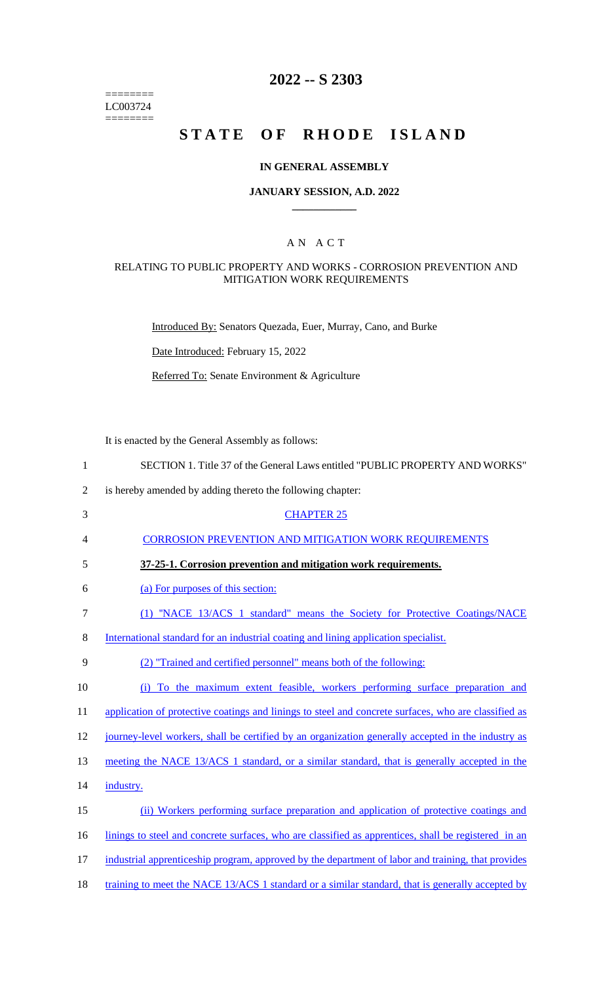======== LC003724  $=$ 

## **2022 -- S 2303**

# **STATE OF RHODE ISLAND**

## **IN GENERAL ASSEMBLY**

#### **JANUARY SESSION, A.D. 2022**

## A N A C T

### RELATING TO PUBLIC PROPERTY AND WORKS - CORROSION PREVENTION AND MITIGATION WORK REQUIREMENTS

Introduced By: Senators Quezada, Euer, Murray, Cano, and Burke

Date Introduced: February 15, 2022

Referred To: Senate Environment & Agriculture

It is enacted by the General Assembly as follows:

| $\mathbf{1}$   | SECTION 1. Title 37 of the General Laws entitled "PUBLIC PROPERTY AND WORKS"                         |
|----------------|------------------------------------------------------------------------------------------------------|
| $\overline{2}$ | is hereby amended by adding thereto the following chapter:                                           |
| 3              | <b>CHAPTER 25</b>                                                                                    |
| 4              | <b>CORROSION PREVENTION AND MITIGATION WORK REQUIREMENTS</b>                                         |
| 5              | 37-25-1. Corrosion prevention and mitigation work requirements.                                      |
| 6              | (a) For purposes of this section:                                                                    |
| $\tau$         | (1) "NACE 13/ACS 1 standard" means the Society for Protective Coatings/NACE                          |
| 8              | International standard for an industrial coating and lining application specialist.                  |
| 9              | (2) "Trained and certified personnel" means both of the following:                                   |
| 10             | (i) To the maximum extent feasible, workers performing surface preparation and                       |
| 11             | application of protective coatings and linings to steel and concrete surfaces, who are classified as |
| 12             | journey-level workers, shall be certified by an organization generally accepted in the industry as   |
| 13             | meeting the NACE 13/ACS 1 standard, or a similar standard, that is generally accepted in the         |
| 14             | industry.                                                                                            |
| 15             | (ii) Workers performing surface preparation and application of protective coatings and               |
| 16             | linings to steel and concrete surfaces, who are classified as apprentices, shall be registered in an |
| 17             | industrial apprenticeship program, approved by the department of labor and training, that provides   |
| 18             | training to meet the NACE 13/ACS 1 standard or a similar standard, that is generally accepted by     |

**\_\_\_\_\_\_\_\_\_\_\_\_**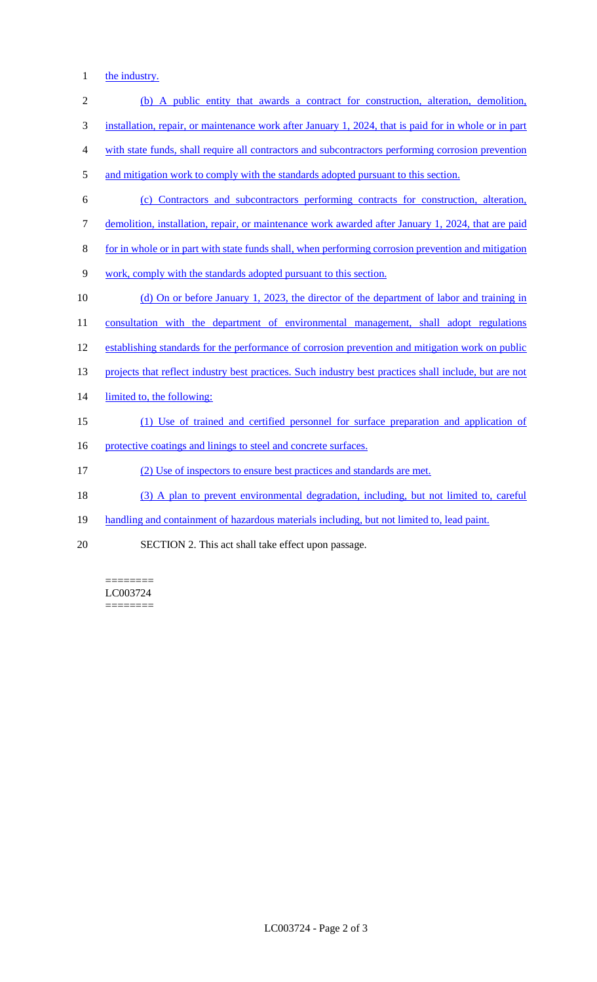1 the industry.

| $\overline{2}$ | (b) A public entity that awards a contract for construction, alteration, demolition,                   |
|----------------|--------------------------------------------------------------------------------------------------------|
| 3              | installation, repair, or maintenance work after January 1, 2024, that is paid for in whole or in part  |
| 4              | with state funds, shall require all contractors and subcontractors performing corrosion prevention     |
| 5              | and mitigation work to comply with the standards adopted pursuant to this section.                     |
| 6              | (c) Contractors and subcontractors performing contracts for construction, alteration,                  |
| 7              | demolition, installation, repair, or maintenance work awarded after January 1, 2024, that are paid     |
| 8              | for in whole or in part with state funds shall, when performing corrosion prevention and mitigation    |
| 9              | work, comply with the standards adopted pursuant to this section.                                      |
| 10             | (d) On or before January 1, 2023, the director of the department of labor and training in              |
| 11             | consultation with the department of environmental management, shall adopt regulations                  |
| 12             | establishing standards for the performance of corrosion prevention and mitigation work on public       |
| 13             | projects that reflect industry best practices. Such industry best practices shall include, but are not |
| 14             | limited to, the following:                                                                             |
| 15             | (1) Use of trained and certified personnel for surface preparation and application of                  |
| 16             | protective coatings and linings to steel and concrete surfaces.                                        |
| 17             | (2) Use of inspectors to ensure best practices and standards are met.                                  |
| 18             | (3) A plan to prevent environmental degradation, including, but not limited to, careful                |
| 19             | handling and containment of hazardous materials including, but not limited to, lead paint.             |
| 20             | SECTION 2. This act shall take effect upon passage.                                                    |

======== LC003724 ========